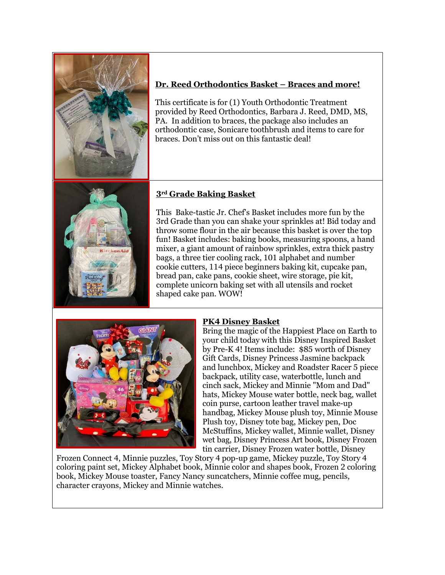



#### **Dr. Reed Orthodontics Basket – Braces and more!**

This certificate is for (1) Youth Orthodontic Treatment provided by Reed Orthodontics, Barbara J. Reed, DMD, MS, PA. In addition to braces, the package also includes an orthodontic case, Sonicare toothbrush and items to care for braces. Don't miss out on this fantastic deal!

### **3rd Grade Baking Basket**

This Bake-tastic Jr. Chef's Basket includes more fun by the 3rd Grade than you can shake your sprinkles at! Bid today and throw some flour in the air because this basket is over the top fun! Basket includes: baking books, measuring spoons, a hand mixer, a giant amount of rainbow sprinkles, extra thick pastry bags, a three tier cooling rack, 101 alphabet and number cookie cutters, 114 piece beginners baking kit, cupcake pan, bread pan, cake pans, cookie sheet, wire storage, pie kit, complete unicorn baking set with all utensils and rocket shaped cake pan. WOW!



#### **PK4 Disney Basket**

Bring the magic of the Happiest Place on Earth to your child today with this Disney Inspired Basket by Pre-K 4! Items include: \$85 worth of Disney Gift Cards, Disney Princess Jasmine backpack and lunchbox, Mickey and Roadster Racer 5 piece backpack, utility case, waterbottle, lunch and cinch sack, Mickey and Minnie "Mom and Dad" hats, Mickey Mouse water bottle, neck bag, wallet coin purse, cartoon leather travel make-up handbag, Mickey Mouse plush toy, Minnie Mouse Plush toy, Disney tote bag, Mickey pen, Doc McStuffins, Mickey wallet, Minnie wallet, Disney wet bag, Disney Princess Art book, Disney Frozen tin carrier, Disney Frozen water bottle, Disney

Frozen Connect 4, Minnie puzzles, Toy Story 4 pop-up game, Mickey puzzle, Toy Story 4 coloring paint set, Mickey Alphabet book, Minnie color and shapes book, Frozen 2 coloring book, Mickey Mouse toaster, Fancy Nancy suncatchers, Minnie coffee mug, pencils, character crayons, Mickey and Minnie watches.